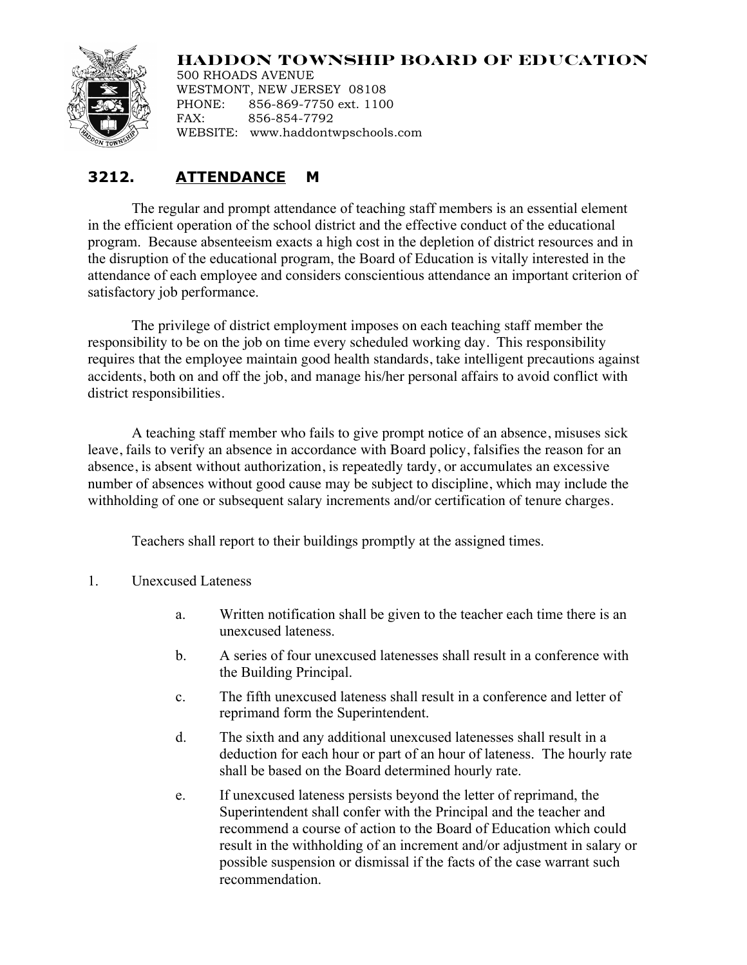## **HADDON TOWNSHIP BOARD OF EDUCATION**



500 RHOADS AVENUE WESTMONT, NEW JERSEY 08108 PHONE: 856-869-7750 ext. 1100 FAX: 856-854-7792 WEBSITE: www.haddontwpschools.com

## **3212. ATTENDANCE M**

The regular and prompt attendance of teaching staff members is an essential element in the efficient operation of the school district and the effective conduct of the educational program. Because absenteeism exacts a high cost in the depletion of district resources and in the disruption of the educational program, the Board of Education is vitally interested in the attendance of each employee and considers conscientious attendance an important criterion of satisfactory job performance.

The privilege of district employment imposes on each teaching staff member the responsibility to be on the job on time every scheduled working day. This responsibility requires that the employee maintain good health standards, take intelligent precautions against accidents, both on and off the job, and manage his/her personal affairs to avoid conflict with district responsibilities.

A teaching staff member who fails to give prompt notice of an absence, misuses sick leave, fails to verify an absence in accordance with Board policy, falsifies the reason for an absence, is absent without authorization, is repeatedly tardy, or accumulates an excessive number of absences without good cause may be subject to discipline, which may include the withholding of one or subsequent salary increments and/or certification of tenure charges.

Teachers shall report to their buildings promptly at the assigned times.

- 1. Unexcused Lateness
	- a. Written notification shall be given to the teacher each time there is an unexcused lateness.
	- b. A series of four unexcused latenesses shall result in a conference with the Building Principal.
	- c. The fifth unexcused lateness shall result in a conference and letter of reprimand form the Superintendent.
	- d. The sixth and any additional unexcused latenesses shall result in a deduction for each hour or part of an hour of lateness. The hourly rate shall be based on the Board determined hourly rate.
	- e. If unexcused lateness persists beyond the letter of reprimand, the Superintendent shall confer with the Principal and the teacher and recommend a course of action to the Board of Education which could result in the withholding of an increment and/or adjustment in salary or possible suspension or dismissal if the facts of the case warrant such recommendation.